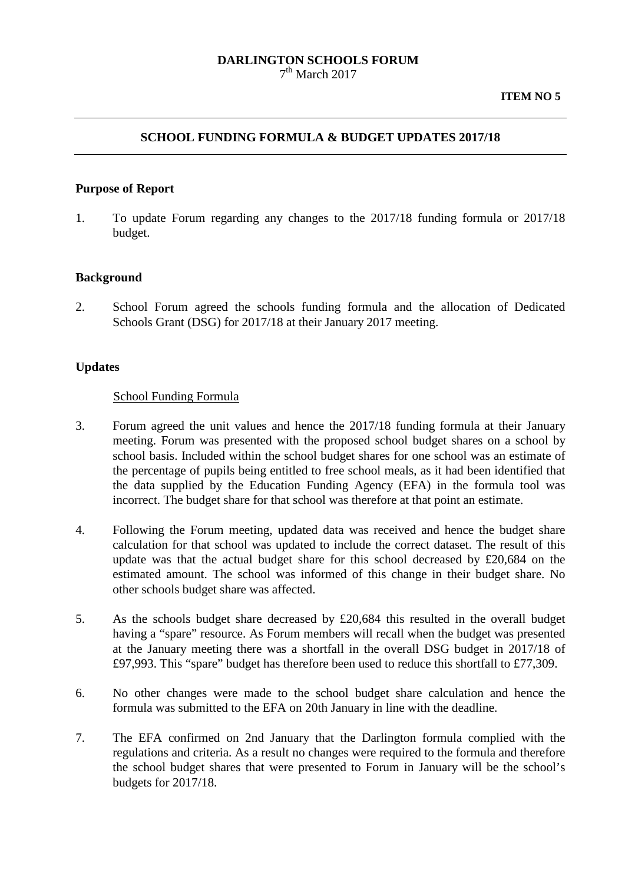#### **DARLINGTON SCHOOLS FORUM**  $7<sup>th</sup>$  March 2017

## **SCHOOL FUNDING FORMULA & BUDGET UPDATES 2017/18**

#### **Purpose of Report**

1. To update Forum regarding any changes to the 2017/18 funding formula or 2017/18 budget.

## **Background**

2. School Forum agreed the schools funding formula and the allocation of Dedicated Schools Grant (DSG) for 2017/18 at their January 2017 meeting.

## **Updates**

#### School Funding Formula

- 3. Forum agreed the unit values and hence the 2017/18 funding formula at their January meeting. Forum was presented with the proposed school budget shares on a school by school basis. Included within the school budget shares for one school was an estimate of the percentage of pupils being entitled to free school meals, as it had been identified that the data supplied by the Education Funding Agency (EFA) in the formula tool was incorrect. The budget share for that school was therefore at that point an estimate.
- 4. Following the Forum meeting, updated data was received and hence the budget share calculation for that school was updated to include the correct dataset. The result of this update was that the actual budget share for this school decreased by £20,684 on the estimated amount. The school was informed of this change in their budget share. No other schools budget share was affected.
- 5. As the schools budget share decreased by £20,684 this resulted in the overall budget having a "spare" resource. As Forum members will recall when the budget was presented at the January meeting there was a shortfall in the overall DSG budget in 2017/18 of £97,993. This "spare" budget has therefore been used to reduce this shortfall to £77,309.
- 6. No other changes were made to the school budget share calculation and hence the formula was submitted to the EFA on 20th January in line with the deadline.
- 7. The EFA confirmed on 2nd January that the Darlington formula complied with the regulations and criteria. As a result no changes were required to the formula and therefore the school budget shares that were presented to Forum in January will be the school's budgets for 2017/18.